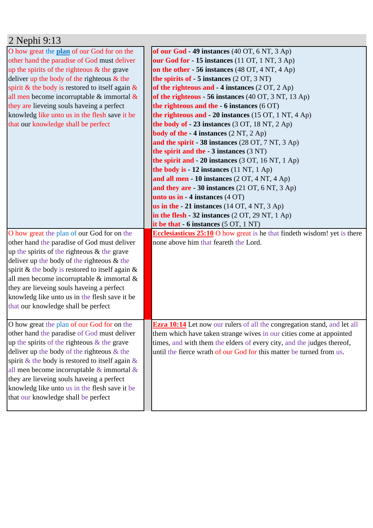| 2 Nephi 9:13                                       |                                                                                 |
|----------------------------------------------------|---------------------------------------------------------------------------------|
| O how great the plan of our God for on the         | of our God - 49 instances (40 OT, 6 NT, 3 Ap)                                   |
| other hand the paradise of God must deliver        | our God for - 15 instances (11 OT, 1 NT, 3 Ap)                                  |
| up the spirits of the righteous $\&$ the grave     | on the other - 56 instances (48 OT, 4 NT, 4 Ap)                                 |
| deliver up the body of the righteous $\&$ the      | the spirits of $-5$ instances $(2 OT, 3 NT)$                                    |
| spirit & the body is restored to itself again $\&$ | of the righteous and $-4$ instances (2 OT, 2 Ap)                                |
| all men become incorruptable $\&$ immortal $\&$    | of the righteous - 56 instances (40 OT, 3 NT, 13 Ap)                            |
| they are lieveing souls haveing a perfect          | the righteous and the $-6$ instances (6 OT)                                     |
| knowledg like unto us in the flesh save it be      | the righteous and $-20$ instances (15 OT, 1 NT, 4 Ap)                           |
| that our knowledge shall be perfect                | the body of $-23$ instances (3 OT, 18 NT, 2 Ap)                                 |
|                                                    | <b>body of the - 4 instances</b> (2 NT, 2 Ap)                                   |
|                                                    | and the spirit - 38 instances $(28 \text{ OT}, 7 \text{ NT}, 3 \text{ Ap})$     |
|                                                    | the spirit and the - 3 instances (3 NT)                                         |
|                                                    | the spirit and $-20$ instances (3 OT, 16 NT, 1 Ap)                              |
|                                                    | the body is - 12 instances (11 NT, 1 Ap)                                        |
|                                                    | and all men - 10 instances (2 OT, 4 NT, 4 Ap)                                   |
|                                                    | and they are $-30$ instances (21 OT, 6 NT, 3 Ap)                                |
|                                                    | unto us in $-4$ instances $(4$ OT)                                              |
|                                                    | us in the $-21$ instances (14 OT, 4 NT, 3 Ap)                                   |
|                                                    | in the flesh $-32$ instances $(2 OT, 29 NT, 1 Ap)$                              |
|                                                    | it be that $-6$ instances $(5 OT, 1 NT)$                                        |
| O how great the plan of our God for on the         | <b>Ecclesiasticus 25:10</b> O how great is he that findeth wisdom! yet is there |
| other hand the paradise of God must deliver        | none above him that feareth the Lord.                                           |
| up the spirits of the righteous $&$ the grave      |                                                                                 |
| deliver up the body of the righteous $&$ the       |                                                                                 |
| spirit & the body is restored to itself again $\&$ |                                                                                 |
| all men become incorruptable & immortal &          |                                                                                 |
| they are lieveing souls haveing a perfect          |                                                                                 |
| knowledg like unto us in the flesh save it be      |                                                                                 |
| that our knowledge shall be perfect                |                                                                                 |
|                                                    |                                                                                 |
| O how great the plan of our God for on the         | <b>Ezra 10:14</b> Let now our rulers of all the congregation stand, and let all |
| other hand the paradise of God must deliver        | them which have taken strange wives in our cities come at appointed             |
| up the spirits of the righteous $&$ the grave      | times, and with them the elders of every city, and the judges thereof,          |
| deliver up the body of the righteous $&$ the       | until the fierce wrath of our God for this matter be turned from us.            |
| spirit & the body is restored to itself again $\&$ |                                                                                 |
| all men become incorruptable $\&$ immortal $\&$    |                                                                                 |
| they are lieveing souls haveing a perfect          |                                                                                 |
| knowledg like unto us in the flesh save it be      |                                                                                 |
| that our knowledge shall be perfect                |                                                                                 |
|                                                    |                                                                                 |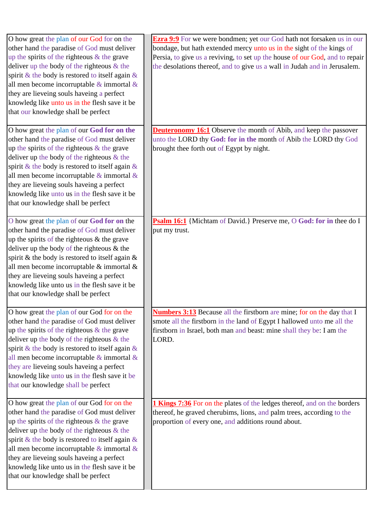| O how great the plan of our God for on the<br>other hand the paradise of God must deliver<br>up the spirits of the righteous $\&$ the grave<br>deliver up the body of the righteous $&$ the<br>spirit & the body is restored to itself again $\&$<br>all men become incorruptable $\&$ immortal $\&$<br>they are lieveing souls haveing a perfect<br>knowledg like unto us in the flesh save it be<br>that our knowledge shall be perfect  | <b>Ezra 9:9</b> For we were bondmen; yet our God hath not forsaken us in our<br>bondage, but hath extended mercy unto us in the sight of the kings of<br>Persia, to give us a reviving, to set up the house of our God, and to repair<br>the desolations thereof, and to give us a wall in Judah and in Jerusalem. |
|--------------------------------------------------------------------------------------------------------------------------------------------------------------------------------------------------------------------------------------------------------------------------------------------------------------------------------------------------------------------------------------------------------------------------------------------|--------------------------------------------------------------------------------------------------------------------------------------------------------------------------------------------------------------------------------------------------------------------------------------------------------------------|
| O how great the plan of our God for on the<br>other hand the paradise of God must deliver<br>up the spirits of the righteous $&$ the grave<br>deliver up the body of the righteous $&$ the<br>spirit & the body is restored to itself again $\&$<br>all men become incorruptable $\&$ immortal $\&$<br>they are lieveing souls haveing a perfect<br>knowledg like unto us in the flesh save it be<br>that our knowledge shall be perfect   | <b>Deuteronomy 16:1</b> Observe the month of Abib, and keep the passover<br>unto the LORD thy God: for in the month of Abib the LORD thy God<br>brought thee forth out of Egypt by night.                                                                                                                          |
| O how great the plan of our God for on the<br>other hand the paradise of God must deliver<br>up the spirits of the righteous $&$ the grave<br>deliver up the body of the righteous $\&$ the<br>spirit & the body is restored to itself again $\&$<br>all men become incorruptable & immortal &<br>they are lieveing souls haveing a perfect<br>knowledg like unto us in the flesh save it be<br>that our knowledge shall be perfect        | Psalm 16:1 {Michtam of David.} Preserve me, O God: for in thee do I<br>put my trust.                                                                                                                                                                                                                               |
| O how great the plan of our God for on the<br>other hand the paradise of God must deliver<br>up the spirits of the righteous $&$ the grave<br>deliver up the body of the righteous $&$ the<br>spirit & the body is restored to itself again $\&$<br>all men become incorruptable $\&$ immortal $\&$<br>they are lieveing souls haveing a perfect<br>knowledg like unto us in the flesh save it be<br>that our knowledge shall be perfect   | <b>Numbers 3:13</b> Because all the firstborn are mine; for on the day that I<br>smote all the firstborn in the land of Egypt I hallowed unto me all the<br>firstborn in Israel, both man and beast: mine shall they be: I am the<br>LORD.                                                                         |
| O how great the plan of our God for on the<br>other hand the paradise of God must deliver<br>up the spirits of the righteous $\&$ the grave<br>deliver up the body of the righteous $\&$ the<br>spirit & the body is restored to itself again $\&$<br>all men become incorruptable $\&$ immortal $\&$<br>they are lieveing souls haveing a perfect<br>knowledg like unto us in the flesh save it be<br>that our knowledge shall be perfect | 1 Kings 7:36 For on the plates of the ledges thereof, and on the borders<br>thereof, he graved cherubims, lions, and palm trees, according to the<br>proportion of every one, and additions round about.                                                                                                           |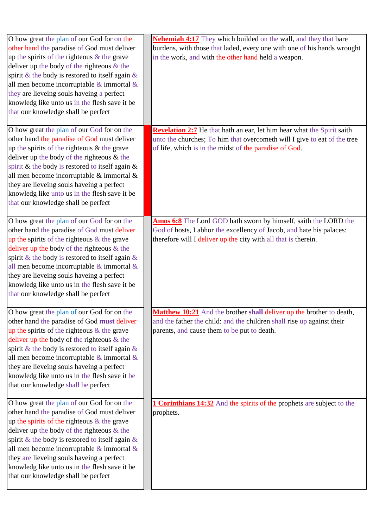| O how great the plan of our God for on the<br>other hand the paradise of God must deliver<br>up the spirits of the righteous $&$ the grave<br>deliver up the body of the righteous $&$ the<br>spirit & the body is restored to itself again $\&$<br>all men become incorruptable $\&$ immortal $\&$<br>they are lieveing souls haveing a perfect<br>knowledg like unto us in the flesh save it be<br>that our knowledge shall be perfect  | <b>Nehemiah 4:17</b> They which builded on the wall, and they that bare<br>burdens, with those that laded, every one with one of his hands wrought<br>in the work, and with the other hand held a weapon.    |
|-------------------------------------------------------------------------------------------------------------------------------------------------------------------------------------------------------------------------------------------------------------------------------------------------------------------------------------------------------------------------------------------------------------------------------------------|--------------------------------------------------------------------------------------------------------------------------------------------------------------------------------------------------------------|
| O how great the plan of our God for on the<br>other hand the paradise of God must deliver<br>up the spirits of the righteous $&$ the grave<br>deliver up the body of the righteous $\&$ the<br>spirit & the body is restored to itself again $\&$<br>all men become incorruptable & immortal &<br>they are lieveing souls haveing a perfect<br>knowledg like unto us in the flesh save it be<br>that our knowledge shall be perfect       | Revelation 2:7 He that hath an ear, let him hear what the Spirit saith<br>unto the churches; To him that overcometh will I give to eat of the tree<br>of life, which is in the midst of the paradise of God. |
| O how great the plan of our God for on the<br>other hand the paradise of God must deliver<br>up the spirits of the righteous & the grave<br>deliver up the body of the righteous $\&$ the<br>spirit & the body is restored to itself again $\&$<br>all men become incorruptable $\&$ immortal $\&$<br>they are lieveing souls haveing a perfect<br>knowledg like unto us in the flesh save it be<br>that our knowledge shall be perfect   | Amos 6:8 The Lord GOD hath sworn by himself, saith the LORD the<br>God of hosts, I abhor the excellency of Jacob, and hate his palaces:<br>therefore will I deliver up the city with all that is therein.    |
| O how great the plan of our God for on the<br>other hand the paradise of God must deliver<br>up the spirits of the righteous $&$ the grave<br>deliver up the body of the righteous $&$ the<br>spirit & the body is restored to itself again $\&$<br>all men become incorruptable $\&$ immortal $\&$<br>they are lieveing souls haveing a perfect<br>knowledg like unto us in the flesh save it be<br>that our knowledge shall be perfect  | <b>Matthew 10:21</b> And the brother shall deliver up the brother to death,<br>and the father the child: and the children shall rise up against their<br>parents, and cause them to be put to death.         |
| O how great the plan of our God for on the<br>other hand the paradise of God must deliver<br>up the spirits of the righteous $\&$ the grave<br>deliver up the body of the righteous $&$ the<br>spirit & the body is restored to itself again $\&$<br>all men become incorruptable $\&$ immortal $\&$<br>they are lieveing souls haveing a perfect<br>knowledg like unto us in the flesh save it be<br>that our knowledge shall be perfect | <b>1 Corinthians 14:32</b> And the spirits of the prophets are subject to the<br>prophets.                                                                                                                   |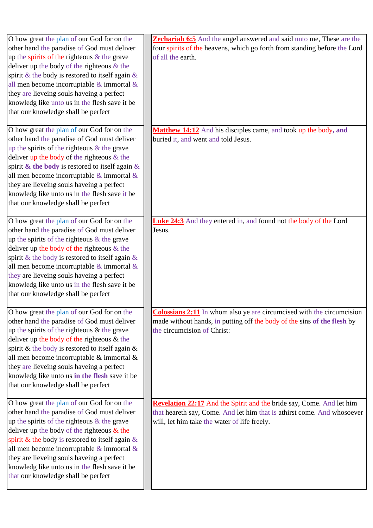| other hand the paradise of God must deliver<br>four spirits of the heavens, which go forth from standing before the Lord<br>up the spirits of the righteous $&$ the grave<br>of all the earth.<br>deliver up the body of the righteous & the<br>spirit & the body is restored to itself again $\&$<br>all men become incorruptable $\&$ immortal $\&$<br>they are lieveing souls haveing a perfect<br>knowledg like unto us in the flesh save it be<br>that our knowledge shall be perfect<br>O how great the plan of our God for on the<br><b>Matthew 14:12</b> And his disciples came, and took up the body, and<br>other hand the paradise of God must deliver<br>buried it, and went and told Jesus.<br>up the spirits of the righteous $&$ the grave<br>deliver up the body of the righteous $&$ the<br>spirit & the body is restored to itself again $\&$<br>all men become incorruptable $\&$ immortal $\&$<br>they are lieveing souls haveing a perfect<br>knowledg like unto us in the flesh save it be<br>that our knowledge shall be perfect<br>O how great the plan of our God for on the<br><b>Luke 24:3</b> And they entered in, and found not the body of the Lord<br>other hand the paradise of God must deliver<br>Jesus.<br>up the spirits of the righteous $&$ the grave<br>deliver up the body of the righteous $\&$ the<br>spirit & the body is restored to itself again $\&$<br>all men become incorruptable $\&$ immortal $\&$<br>they are lieveing souls haveing a perfect<br>knowledg like unto us in the flesh save it be<br>that our knowledge shall be perfect<br>O how great the plan of our God for on the<br><b>Colossians 2:11</b> In whom also ye are circumcised with the circumcision<br>other hand the paradise of God must deliver<br>made without hands, in putting off the body of the sins of the flesh by<br>up the spirits of the righteous $&$ the grave<br>the circumcision of Christ:<br>deliver up the body of the righteous $\&$ the<br>spirit & the body is restored to itself again $\&$<br>all men become incorruptable & immortal &<br>they are lieveing souls haveing a perfect<br>knowledg like unto us in the flesh save it be<br>that our knowledge shall be perfect<br>O how great the plan of our God for on the<br><b>Revelation 22:17</b> And the Spirit and the bride say, Come. And let him<br>other hand the paradise of God must deliver<br>that heareth say, Come. And let him that is athirst come. And whosoever<br>up the spirits of the righteous $&$ the grave<br>will, let him take the water of life freely.<br>deliver up the body of the righteous $\&$ the<br>spirit & the body is restored to itself again $\&$<br>all men become incorruptable $\&$ immortal $\&$<br>they are lieveing souls haveing a perfect<br>knowledg like unto us in the flesh save it be<br>that our knowledge shall be perfect | O how great the plan of our God for on the | Zechariah 6:5 And the angel answered and said unto me, These are the |
|------------------------------------------------------------------------------------------------------------------------------------------------------------------------------------------------------------------------------------------------------------------------------------------------------------------------------------------------------------------------------------------------------------------------------------------------------------------------------------------------------------------------------------------------------------------------------------------------------------------------------------------------------------------------------------------------------------------------------------------------------------------------------------------------------------------------------------------------------------------------------------------------------------------------------------------------------------------------------------------------------------------------------------------------------------------------------------------------------------------------------------------------------------------------------------------------------------------------------------------------------------------------------------------------------------------------------------------------------------------------------------------------------------------------------------------------------------------------------------------------------------------------------------------------------------------------------------------------------------------------------------------------------------------------------------------------------------------------------------------------------------------------------------------------------------------------------------------------------------------------------------------------------------------------------------------------------------------------------------------------------------------------------------------------------------------------------------------------------------------------------------------------------------------------------------------------------------------------------------------------------------------------------------------------------------------------------------------------------------------------------------------------------------------------------------------------------------------------------------------------------------------------------------------------------------------------------------------------------------------------------------------------------------------------------------------------------------------------------------------------------------------------------------------------------------------------------------------------------------------------------------|--------------------------------------------|----------------------------------------------------------------------|
|                                                                                                                                                                                                                                                                                                                                                                                                                                                                                                                                                                                                                                                                                                                                                                                                                                                                                                                                                                                                                                                                                                                                                                                                                                                                                                                                                                                                                                                                                                                                                                                                                                                                                                                                                                                                                                                                                                                                                                                                                                                                                                                                                                                                                                                                                                                                                                                                                                                                                                                                                                                                                                                                                                                                                                                                                                                                                    |                                            |                                                                      |
|                                                                                                                                                                                                                                                                                                                                                                                                                                                                                                                                                                                                                                                                                                                                                                                                                                                                                                                                                                                                                                                                                                                                                                                                                                                                                                                                                                                                                                                                                                                                                                                                                                                                                                                                                                                                                                                                                                                                                                                                                                                                                                                                                                                                                                                                                                                                                                                                                                                                                                                                                                                                                                                                                                                                                                                                                                                                                    |                                            |                                                                      |
|                                                                                                                                                                                                                                                                                                                                                                                                                                                                                                                                                                                                                                                                                                                                                                                                                                                                                                                                                                                                                                                                                                                                                                                                                                                                                                                                                                                                                                                                                                                                                                                                                                                                                                                                                                                                                                                                                                                                                                                                                                                                                                                                                                                                                                                                                                                                                                                                                                                                                                                                                                                                                                                                                                                                                                                                                                                                                    |                                            |                                                                      |
|                                                                                                                                                                                                                                                                                                                                                                                                                                                                                                                                                                                                                                                                                                                                                                                                                                                                                                                                                                                                                                                                                                                                                                                                                                                                                                                                                                                                                                                                                                                                                                                                                                                                                                                                                                                                                                                                                                                                                                                                                                                                                                                                                                                                                                                                                                                                                                                                                                                                                                                                                                                                                                                                                                                                                                                                                                                                                    |                                            |                                                                      |
|                                                                                                                                                                                                                                                                                                                                                                                                                                                                                                                                                                                                                                                                                                                                                                                                                                                                                                                                                                                                                                                                                                                                                                                                                                                                                                                                                                                                                                                                                                                                                                                                                                                                                                                                                                                                                                                                                                                                                                                                                                                                                                                                                                                                                                                                                                                                                                                                                                                                                                                                                                                                                                                                                                                                                                                                                                                                                    |                                            |                                                                      |
|                                                                                                                                                                                                                                                                                                                                                                                                                                                                                                                                                                                                                                                                                                                                                                                                                                                                                                                                                                                                                                                                                                                                                                                                                                                                                                                                                                                                                                                                                                                                                                                                                                                                                                                                                                                                                                                                                                                                                                                                                                                                                                                                                                                                                                                                                                                                                                                                                                                                                                                                                                                                                                                                                                                                                                                                                                                                                    |                                            |                                                                      |
|                                                                                                                                                                                                                                                                                                                                                                                                                                                                                                                                                                                                                                                                                                                                                                                                                                                                                                                                                                                                                                                                                                                                                                                                                                                                                                                                                                                                                                                                                                                                                                                                                                                                                                                                                                                                                                                                                                                                                                                                                                                                                                                                                                                                                                                                                                                                                                                                                                                                                                                                                                                                                                                                                                                                                                                                                                                                                    |                                            |                                                                      |
|                                                                                                                                                                                                                                                                                                                                                                                                                                                                                                                                                                                                                                                                                                                                                                                                                                                                                                                                                                                                                                                                                                                                                                                                                                                                                                                                                                                                                                                                                                                                                                                                                                                                                                                                                                                                                                                                                                                                                                                                                                                                                                                                                                                                                                                                                                                                                                                                                                                                                                                                                                                                                                                                                                                                                                                                                                                                                    |                                            |                                                                      |
|                                                                                                                                                                                                                                                                                                                                                                                                                                                                                                                                                                                                                                                                                                                                                                                                                                                                                                                                                                                                                                                                                                                                                                                                                                                                                                                                                                                                                                                                                                                                                                                                                                                                                                                                                                                                                                                                                                                                                                                                                                                                                                                                                                                                                                                                                                                                                                                                                                                                                                                                                                                                                                                                                                                                                                                                                                                                                    |                                            |                                                                      |
|                                                                                                                                                                                                                                                                                                                                                                                                                                                                                                                                                                                                                                                                                                                                                                                                                                                                                                                                                                                                                                                                                                                                                                                                                                                                                                                                                                                                                                                                                                                                                                                                                                                                                                                                                                                                                                                                                                                                                                                                                                                                                                                                                                                                                                                                                                                                                                                                                                                                                                                                                                                                                                                                                                                                                                                                                                                                                    |                                            |                                                                      |
|                                                                                                                                                                                                                                                                                                                                                                                                                                                                                                                                                                                                                                                                                                                                                                                                                                                                                                                                                                                                                                                                                                                                                                                                                                                                                                                                                                                                                                                                                                                                                                                                                                                                                                                                                                                                                                                                                                                                                                                                                                                                                                                                                                                                                                                                                                                                                                                                                                                                                                                                                                                                                                                                                                                                                                                                                                                                                    |                                            |                                                                      |
|                                                                                                                                                                                                                                                                                                                                                                                                                                                                                                                                                                                                                                                                                                                                                                                                                                                                                                                                                                                                                                                                                                                                                                                                                                                                                                                                                                                                                                                                                                                                                                                                                                                                                                                                                                                                                                                                                                                                                                                                                                                                                                                                                                                                                                                                                                                                                                                                                                                                                                                                                                                                                                                                                                                                                                                                                                                                                    |                                            |                                                                      |
|                                                                                                                                                                                                                                                                                                                                                                                                                                                                                                                                                                                                                                                                                                                                                                                                                                                                                                                                                                                                                                                                                                                                                                                                                                                                                                                                                                                                                                                                                                                                                                                                                                                                                                                                                                                                                                                                                                                                                                                                                                                                                                                                                                                                                                                                                                                                                                                                                                                                                                                                                                                                                                                                                                                                                                                                                                                                                    |                                            |                                                                      |
|                                                                                                                                                                                                                                                                                                                                                                                                                                                                                                                                                                                                                                                                                                                                                                                                                                                                                                                                                                                                                                                                                                                                                                                                                                                                                                                                                                                                                                                                                                                                                                                                                                                                                                                                                                                                                                                                                                                                                                                                                                                                                                                                                                                                                                                                                                                                                                                                                                                                                                                                                                                                                                                                                                                                                                                                                                                                                    |                                            |                                                                      |
|                                                                                                                                                                                                                                                                                                                                                                                                                                                                                                                                                                                                                                                                                                                                                                                                                                                                                                                                                                                                                                                                                                                                                                                                                                                                                                                                                                                                                                                                                                                                                                                                                                                                                                                                                                                                                                                                                                                                                                                                                                                                                                                                                                                                                                                                                                                                                                                                                                                                                                                                                                                                                                                                                                                                                                                                                                                                                    |                                            |                                                                      |
|                                                                                                                                                                                                                                                                                                                                                                                                                                                                                                                                                                                                                                                                                                                                                                                                                                                                                                                                                                                                                                                                                                                                                                                                                                                                                                                                                                                                                                                                                                                                                                                                                                                                                                                                                                                                                                                                                                                                                                                                                                                                                                                                                                                                                                                                                                                                                                                                                                                                                                                                                                                                                                                                                                                                                                                                                                                                                    |                                            |                                                                      |
|                                                                                                                                                                                                                                                                                                                                                                                                                                                                                                                                                                                                                                                                                                                                                                                                                                                                                                                                                                                                                                                                                                                                                                                                                                                                                                                                                                                                                                                                                                                                                                                                                                                                                                                                                                                                                                                                                                                                                                                                                                                                                                                                                                                                                                                                                                                                                                                                                                                                                                                                                                                                                                                                                                                                                                                                                                                                                    |                                            |                                                                      |
|                                                                                                                                                                                                                                                                                                                                                                                                                                                                                                                                                                                                                                                                                                                                                                                                                                                                                                                                                                                                                                                                                                                                                                                                                                                                                                                                                                                                                                                                                                                                                                                                                                                                                                                                                                                                                                                                                                                                                                                                                                                                                                                                                                                                                                                                                                                                                                                                                                                                                                                                                                                                                                                                                                                                                                                                                                                                                    |                                            |                                                                      |
|                                                                                                                                                                                                                                                                                                                                                                                                                                                                                                                                                                                                                                                                                                                                                                                                                                                                                                                                                                                                                                                                                                                                                                                                                                                                                                                                                                                                                                                                                                                                                                                                                                                                                                                                                                                                                                                                                                                                                                                                                                                                                                                                                                                                                                                                                                                                                                                                                                                                                                                                                                                                                                                                                                                                                                                                                                                                                    |                                            |                                                                      |
|                                                                                                                                                                                                                                                                                                                                                                                                                                                                                                                                                                                                                                                                                                                                                                                                                                                                                                                                                                                                                                                                                                                                                                                                                                                                                                                                                                                                                                                                                                                                                                                                                                                                                                                                                                                                                                                                                                                                                                                                                                                                                                                                                                                                                                                                                                                                                                                                                                                                                                                                                                                                                                                                                                                                                                                                                                                                                    |                                            |                                                                      |
|                                                                                                                                                                                                                                                                                                                                                                                                                                                                                                                                                                                                                                                                                                                                                                                                                                                                                                                                                                                                                                                                                                                                                                                                                                                                                                                                                                                                                                                                                                                                                                                                                                                                                                                                                                                                                                                                                                                                                                                                                                                                                                                                                                                                                                                                                                                                                                                                                                                                                                                                                                                                                                                                                                                                                                                                                                                                                    |                                            |                                                                      |
|                                                                                                                                                                                                                                                                                                                                                                                                                                                                                                                                                                                                                                                                                                                                                                                                                                                                                                                                                                                                                                                                                                                                                                                                                                                                                                                                                                                                                                                                                                                                                                                                                                                                                                                                                                                                                                                                                                                                                                                                                                                                                                                                                                                                                                                                                                                                                                                                                                                                                                                                                                                                                                                                                                                                                                                                                                                                                    |                                            |                                                                      |
|                                                                                                                                                                                                                                                                                                                                                                                                                                                                                                                                                                                                                                                                                                                                                                                                                                                                                                                                                                                                                                                                                                                                                                                                                                                                                                                                                                                                                                                                                                                                                                                                                                                                                                                                                                                                                                                                                                                                                                                                                                                                                                                                                                                                                                                                                                                                                                                                                                                                                                                                                                                                                                                                                                                                                                                                                                                                                    |                                            |                                                                      |
|                                                                                                                                                                                                                                                                                                                                                                                                                                                                                                                                                                                                                                                                                                                                                                                                                                                                                                                                                                                                                                                                                                                                                                                                                                                                                                                                                                                                                                                                                                                                                                                                                                                                                                                                                                                                                                                                                                                                                                                                                                                                                                                                                                                                                                                                                                                                                                                                                                                                                                                                                                                                                                                                                                                                                                                                                                                                                    |                                            |                                                                      |
|                                                                                                                                                                                                                                                                                                                                                                                                                                                                                                                                                                                                                                                                                                                                                                                                                                                                                                                                                                                                                                                                                                                                                                                                                                                                                                                                                                                                                                                                                                                                                                                                                                                                                                                                                                                                                                                                                                                                                                                                                                                                                                                                                                                                                                                                                                                                                                                                                                                                                                                                                                                                                                                                                                                                                                                                                                                                                    |                                            |                                                                      |
|                                                                                                                                                                                                                                                                                                                                                                                                                                                                                                                                                                                                                                                                                                                                                                                                                                                                                                                                                                                                                                                                                                                                                                                                                                                                                                                                                                                                                                                                                                                                                                                                                                                                                                                                                                                                                                                                                                                                                                                                                                                                                                                                                                                                                                                                                                                                                                                                                                                                                                                                                                                                                                                                                                                                                                                                                                                                                    |                                            |                                                                      |
|                                                                                                                                                                                                                                                                                                                                                                                                                                                                                                                                                                                                                                                                                                                                                                                                                                                                                                                                                                                                                                                                                                                                                                                                                                                                                                                                                                                                                                                                                                                                                                                                                                                                                                                                                                                                                                                                                                                                                                                                                                                                                                                                                                                                                                                                                                                                                                                                                                                                                                                                                                                                                                                                                                                                                                                                                                                                                    |                                            |                                                                      |
|                                                                                                                                                                                                                                                                                                                                                                                                                                                                                                                                                                                                                                                                                                                                                                                                                                                                                                                                                                                                                                                                                                                                                                                                                                                                                                                                                                                                                                                                                                                                                                                                                                                                                                                                                                                                                                                                                                                                                                                                                                                                                                                                                                                                                                                                                                                                                                                                                                                                                                                                                                                                                                                                                                                                                                                                                                                                                    |                                            |                                                                      |
|                                                                                                                                                                                                                                                                                                                                                                                                                                                                                                                                                                                                                                                                                                                                                                                                                                                                                                                                                                                                                                                                                                                                                                                                                                                                                                                                                                                                                                                                                                                                                                                                                                                                                                                                                                                                                                                                                                                                                                                                                                                                                                                                                                                                                                                                                                                                                                                                                                                                                                                                                                                                                                                                                                                                                                                                                                                                                    |                                            |                                                                      |
|                                                                                                                                                                                                                                                                                                                                                                                                                                                                                                                                                                                                                                                                                                                                                                                                                                                                                                                                                                                                                                                                                                                                                                                                                                                                                                                                                                                                                                                                                                                                                                                                                                                                                                                                                                                                                                                                                                                                                                                                                                                                                                                                                                                                                                                                                                                                                                                                                                                                                                                                                                                                                                                                                                                                                                                                                                                                                    |                                            |                                                                      |
|                                                                                                                                                                                                                                                                                                                                                                                                                                                                                                                                                                                                                                                                                                                                                                                                                                                                                                                                                                                                                                                                                                                                                                                                                                                                                                                                                                                                                                                                                                                                                                                                                                                                                                                                                                                                                                                                                                                                                                                                                                                                                                                                                                                                                                                                                                                                                                                                                                                                                                                                                                                                                                                                                                                                                                                                                                                                                    |                                            |                                                                      |
|                                                                                                                                                                                                                                                                                                                                                                                                                                                                                                                                                                                                                                                                                                                                                                                                                                                                                                                                                                                                                                                                                                                                                                                                                                                                                                                                                                                                                                                                                                                                                                                                                                                                                                                                                                                                                                                                                                                                                                                                                                                                                                                                                                                                                                                                                                                                                                                                                                                                                                                                                                                                                                                                                                                                                                                                                                                                                    |                                            |                                                                      |
|                                                                                                                                                                                                                                                                                                                                                                                                                                                                                                                                                                                                                                                                                                                                                                                                                                                                                                                                                                                                                                                                                                                                                                                                                                                                                                                                                                                                                                                                                                                                                                                                                                                                                                                                                                                                                                                                                                                                                                                                                                                                                                                                                                                                                                                                                                                                                                                                                                                                                                                                                                                                                                                                                                                                                                                                                                                                                    |                                            |                                                                      |
|                                                                                                                                                                                                                                                                                                                                                                                                                                                                                                                                                                                                                                                                                                                                                                                                                                                                                                                                                                                                                                                                                                                                                                                                                                                                                                                                                                                                                                                                                                                                                                                                                                                                                                                                                                                                                                                                                                                                                                                                                                                                                                                                                                                                                                                                                                                                                                                                                                                                                                                                                                                                                                                                                                                                                                                                                                                                                    |                                            |                                                                      |
|                                                                                                                                                                                                                                                                                                                                                                                                                                                                                                                                                                                                                                                                                                                                                                                                                                                                                                                                                                                                                                                                                                                                                                                                                                                                                                                                                                                                                                                                                                                                                                                                                                                                                                                                                                                                                                                                                                                                                                                                                                                                                                                                                                                                                                                                                                                                                                                                                                                                                                                                                                                                                                                                                                                                                                                                                                                                                    |                                            |                                                                      |
|                                                                                                                                                                                                                                                                                                                                                                                                                                                                                                                                                                                                                                                                                                                                                                                                                                                                                                                                                                                                                                                                                                                                                                                                                                                                                                                                                                                                                                                                                                                                                                                                                                                                                                                                                                                                                                                                                                                                                                                                                                                                                                                                                                                                                                                                                                                                                                                                                                                                                                                                                                                                                                                                                                                                                                                                                                                                                    |                                            |                                                                      |
|                                                                                                                                                                                                                                                                                                                                                                                                                                                                                                                                                                                                                                                                                                                                                                                                                                                                                                                                                                                                                                                                                                                                                                                                                                                                                                                                                                                                                                                                                                                                                                                                                                                                                                                                                                                                                                                                                                                                                                                                                                                                                                                                                                                                                                                                                                                                                                                                                                                                                                                                                                                                                                                                                                                                                                                                                                                                                    |                                            |                                                                      |
|                                                                                                                                                                                                                                                                                                                                                                                                                                                                                                                                                                                                                                                                                                                                                                                                                                                                                                                                                                                                                                                                                                                                                                                                                                                                                                                                                                                                                                                                                                                                                                                                                                                                                                                                                                                                                                                                                                                                                                                                                                                                                                                                                                                                                                                                                                                                                                                                                                                                                                                                                                                                                                                                                                                                                                                                                                                                                    |                                            |                                                                      |
|                                                                                                                                                                                                                                                                                                                                                                                                                                                                                                                                                                                                                                                                                                                                                                                                                                                                                                                                                                                                                                                                                                                                                                                                                                                                                                                                                                                                                                                                                                                                                                                                                                                                                                                                                                                                                                                                                                                                                                                                                                                                                                                                                                                                                                                                                                                                                                                                                                                                                                                                                                                                                                                                                                                                                                                                                                                                                    |                                            |                                                                      |
|                                                                                                                                                                                                                                                                                                                                                                                                                                                                                                                                                                                                                                                                                                                                                                                                                                                                                                                                                                                                                                                                                                                                                                                                                                                                                                                                                                                                                                                                                                                                                                                                                                                                                                                                                                                                                                                                                                                                                                                                                                                                                                                                                                                                                                                                                                                                                                                                                                                                                                                                                                                                                                                                                                                                                                                                                                                                                    |                                            |                                                                      |
|                                                                                                                                                                                                                                                                                                                                                                                                                                                                                                                                                                                                                                                                                                                                                                                                                                                                                                                                                                                                                                                                                                                                                                                                                                                                                                                                                                                                                                                                                                                                                                                                                                                                                                                                                                                                                                                                                                                                                                                                                                                                                                                                                                                                                                                                                                                                                                                                                                                                                                                                                                                                                                                                                                                                                                                                                                                                                    |                                            |                                                                      |
|                                                                                                                                                                                                                                                                                                                                                                                                                                                                                                                                                                                                                                                                                                                                                                                                                                                                                                                                                                                                                                                                                                                                                                                                                                                                                                                                                                                                                                                                                                                                                                                                                                                                                                                                                                                                                                                                                                                                                                                                                                                                                                                                                                                                                                                                                                                                                                                                                                                                                                                                                                                                                                                                                                                                                                                                                                                                                    |                                            |                                                                      |
|                                                                                                                                                                                                                                                                                                                                                                                                                                                                                                                                                                                                                                                                                                                                                                                                                                                                                                                                                                                                                                                                                                                                                                                                                                                                                                                                                                                                                                                                                                                                                                                                                                                                                                                                                                                                                                                                                                                                                                                                                                                                                                                                                                                                                                                                                                                                                                                                                                                                                                                                                                                                                                                                                                                                                                                                                                                                                    |                                            |                                                                      |
|                                                                                                                                                                                                                                                                                                                                                                                                                                                                                                                                                                                                                                                                                                                                                                                                                                                                                                                                                                                                                                                                                                                                                                                                                                                                                                                                                                                                                                                                                                                                                                                                                                                                                                                                                                                                                                                                                                                                                                                                                                                                                                                                                                                                                                                                                                                                                                                                                                                                                                                                                                                                                                                                                                                                                                                                                                                                                    |                                            |                                                                      |
|                                                                                                                                                                                                                                                                                                                                                                                                                                                                                                                                                                                                                                                                                                                                                                                                                                                                                                                                                                                                                                                                                                                                                                                                                                                                                                                                                                                                                                                                                                                                                                                                                                                                                                                                                                                                                                                                                                                                                                                                                                                                                                                                                                                                                                                                                                                                                                                                                                                                                                                                                                                                                                                                                                                                                                                                                                                                                    |                                            |                                                                      |
|                                                                                                                                                                                                                                                                                                                                                                                                                                                                                                                                                                                                                                                                                                                                                                                                                                                                                                                                                                                                                                                                                                                                                                                                                                                                                                                                                                                                                                                                                                                                                                                                                                                                                                                                                                                                                                                                                                                                                                                                                                                                                                                                                                                                                                                                                                                                                                                                                                                                                                                                                                                                                                                                                                                                                                                                                                                                                    |                                            |                                                                      |
|                                                                                                                                                                                                                                                                                                                                                                                                                                                                                                                                                                                                                                                                                                                                                                                                                                                                                                                                                                                                                                                                                                                                                                                                                                                                                                                                                                                                                                                                                                                                                                                                                                                                                                                                                                                                                                                                                                                                                                                                                                                                                                                                                                                                                                                                                                                                                                                                                                                                                                                                                                                                                                                                                                                                                                                                                                                                                    |                                            |                                                                      |
|                                                                                                                                                                                                                                                                                                                                                                                                                                                                                                                                                                                                                                                                                                                                                                                                                                                                                                                                                                                                                                                                                                                                                                                                                                                                                                                                                                                                                                                                                                                                                                                                                                                                                                                                                                                                                                                                                                                                                                                                                                                                                                                                                                                                                                                                                                                                                                                                                                                                                                                                                                                                                                                                                                                                                                                                                                                                                    |                                            |                                                                      |
|                                                                                                                                                                                                                                                                                                                                                                                                                                                                                                                                                                                                                                                                                                                                                                                                                                                                                                                                                                                                                                                                                                                                                                                                                                                                                                                                                                                                                                                                                                                                                                                                                                                                                                                                                                                                                                                                                                                                                                                                                                                                                                                                                                                                                                                                                                                                                                                                                                                                                                                                                                                                                                                                                                                                                                                                                                                                                    |                                            |                                                                      |
|                                                                                                                                                                                                                                                                                                                                                                                                                                                                                                                                                                                                                                                                                                                                                                                                                                                                                                                                                                                                                                                                                                                                                                                                                                                                                                                                                                                                                                                                                                                                                                                                                                                                                                                                                                                                                                                                                                                                                                                                                                                                                                                                                                                                                                                                                                                                                                                                                                                                                                                                                                                                                                                                                                                                                                                                                                                                                    |                                            |                                                                      |
|                                                                                                                                                                                                                                                                                                                                                                                                                                                                                                                                                                                                                                                                                                                                                                                                                                                                                                                                                                                                                                                                                                                                                                                                                                                                                                                                                                                                                                                                                                                                                                                                                                                                                                                                                                                                                                                                                                                                                                                                                                                                                                                                                                                                                                                                                                                                                                                                                                                                                                                                                                                                                                                                                                                                                                                                                                                                                    |                                            |                                                                      |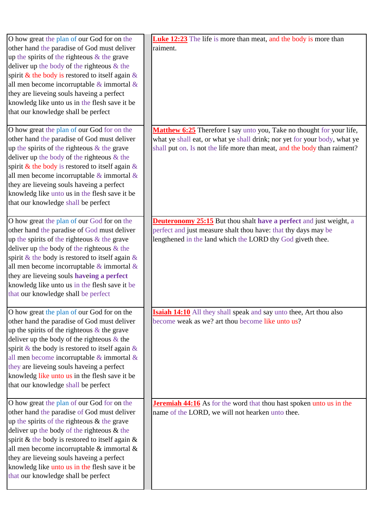| O how great the plan of our God for on the<br>other hand the paradise of God must deliver<br>up the spirits of the righteous & the grave<br>deliver up the body of the righteous $&$ the<br>spirit & the body is restored to itself again $\&$<br>all men become incorruptable $\&$ immortal $\&$<br>they are lieveing souls haveing a perfect<br>knowledg like unto us in the flesh save it be<br>that our knowledge shall be perfect<br>O how great the plan of our God for on the | <b>Luke 12:23</b> The life is more than meat, and the body is more than<br>raiment.<br>Matthew 6:25 Therefore I say unto you, Take no thought for your life,                                              |
|--------------------------------------------------------------------------------------------------------------------------------------------------------------------------------------------------------------------------------------------------------------------------------------------------------------------------------------------------------------------------------------------------------------------------------------------------------------------------------------|-----------------------------------------------------------------------------------------------------------------------------------------------------------------------------------------------------------|
| other hand the paradise of God must deliver<br>up the spirits of the righteous $&$ the grave<br>deliver up the body of the righteous $\&$ the<br>spirit & the body is restored to itself again $\&$<br>all men become incorruptable $\&$ immortal $\&$<br>they are lieveing souls haveing a perfect<br>knowledg like unto us in the flesh save it be<br>that our knowledge shall be perfect                                                                                          | what ye shall eat, or what ye shall drink; nor yet for your body, what ye<br>shall put on. Is not the life more than meat, and the body than raiment?                                                     |
| O how great the plan of our God for on the<br>other hand the paradise of God must deliver<br>up the spirits of the righteous $&$ the grave<br>deliver up the body of the righteous $\&$ the<br>spirit & the body is restored to itself again $\&$<br>all men become incorruptable $\&$ immortal $\&$<br>they are lieveing souls haveing a perfect<br>knowledg like unto us in the flesh save it be<br>that our knowledge shall be perfect                                            | <b>Deuteronomy 25:15</b> But thou shalt have a perfect and just weight, a<br>perfect and just measure shalt thou have: that thy days may be<br>lengthened in the land which the LORD thy God giveth thee. |
| O how great the plan of our God for on the<br>other hand the paradise of God must deliver<br>up the spirits of the righteous $\&$ the grave<br>deliver up the body of the righteous $\&$ the<br>spirit & the body is restored to itself again $\&$<br>all men become incorruptable $\&$ immortal $\&$<br>they are lieveing souls haveing a perfect<br>knowledg like unto us in the flesh save it be<br>that our knowledge shall be perfect                                           | <b>Isaiah 14:10</b> All they shall speak and say unto thee, Art thou also<br>become weak as we? art thou become like unto us?                                                                             |
| O how great the plan of our God for on the<br>other hand the paradise of God must deliver<br>up the spirits of the righteous $&$ the grave<br>deliver up the body of the righteous $&$ the<br>spirit & the body is restored to itself again $\&$<br>all men become incorruptable & immortal &<br>they are lieveing souls haveing a perfect<br>knowledg like unto us in the flesh save it be<br>that our knowledge shall be perfect                                                   | <b>Jeremiah 44:16</b> As for the word that thou hast spoken unto us in the<br>name of the LORD, we will not hearken unto thee.                                                                            |